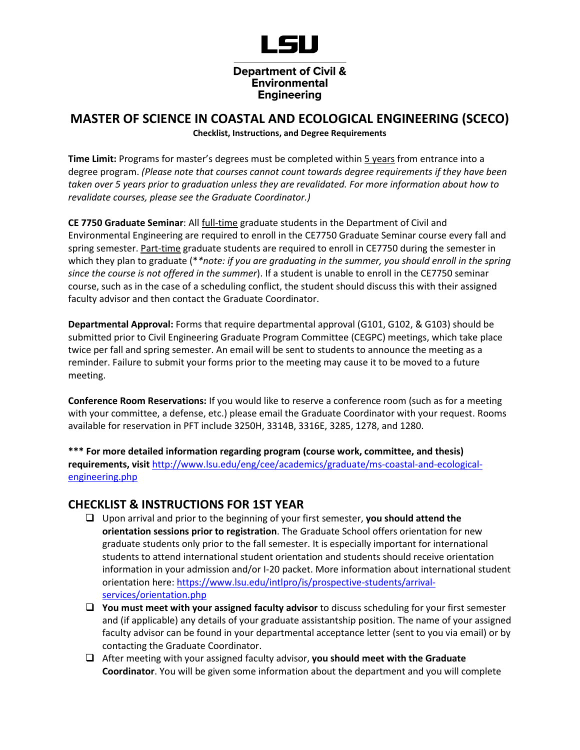

## Engineering

## **MASTER OF SCIENCE IN COASTAL AND ECOLOGICAL ENGINEERING (SCECO) Checklist, Instructions, and Degree Requirements**

**Time Limit:** Programs for master's degrees must be completed within 5 years from entrance into a degree program. *(Please note that courses cannot count towards degree requirements if they have been taken over 5 years prior to graduation unless they are revalidated. For more information about how to revalidate courses, please see the Graduate Coordinator.)*

**CE 7750 Graduate Seminar**: All full-time graduate students in the Department of Civil and Environmental Engineering are required to enroll in the CE7750 Graduate Seminar course every fall and spring semester. Part-time graduate students are required to enroll in CE7750 during the semester in which they plan to graduate (\**\*note: if you are graduating in the summer, you should enroll in the spring since the course is not offered in the summer*). If a student is unable to enroll in the CE7750 seminar course, such as in the case of a scheduling conflict, the student should discuss this with their assigned faculty advisor and then contact the Graduate Coordinator.

**Departmental Approval:** Forms that require departmental approval (G101, G102, & G103) should be submitted prior to Civil Engineering Graduate Program Committee (CEGPC) meetings, which take place twice per fall and spring semester. An email will be sent to students to announce the meeting as a reminder. Failure to submit your forms prior to the meeting may cause it to be moved to a future meeting.

**Conference Room Reservations:** If you would like to reserve a conference room (such as for a meeting with your committee, a defense, etc.) please email the Graduate Coordinator with your request. Rooms available for reservation in PFT include 3250H, 3314B, 3316E, 3285, 1278, and 1280.

**\*\*\* For more detailed information regarding program (course work, committee, and thesis) requirements, visit** [http://www.lsu.edu/eng/cee/academics/graduate/ms-coastal-and-ecological](http://www.lsu.edu/eng/cee/academics/graduate/ms-coastal-and-ecological-engineering.php)[engineering.php](http://www.lsu.edu/eng/cee/academics/graduate/ms-coastal-and-ecological-engineering.php)

## **CHECKLIST & INSTRUCTIONS FOR 1ST YEAR**

- ❑ Upon arrival and prior to the beginning of your first semester, **you should attend the orientation sessions prior to registration**. The Graduate School offers orientation for new graduate students only prior to the fall semester. It is especially important for international students to attend international student orientation and students should receive orientation information in your admission and/or I-20 packet. More information about international student orientation here[: https://www.lsu.edu/intlpro/is/prospective-students/arrival](https://www.lsu.edu/intlpro/is/prospective-students/arrival-services/orientation.php)[services/orientation.php](https://www.lsu.edu/intlpro/is/prospective-students/arrival-services/orientation.php)
- ❑ **You must meet with your assigned faculty advisor** to discuss scheduling for your first semester and (if applicable) any details of your graduate assistantship position. The name of your assigned faculty advisor can be found in your departmental acceptance letter (sent to you via email) or by contacting the Graduate Coordinator.
- ❑ After meeting with your assigned faculty advisor, **you should meet with the Graduate Coordinator**. You will be given some information about the department and you will complete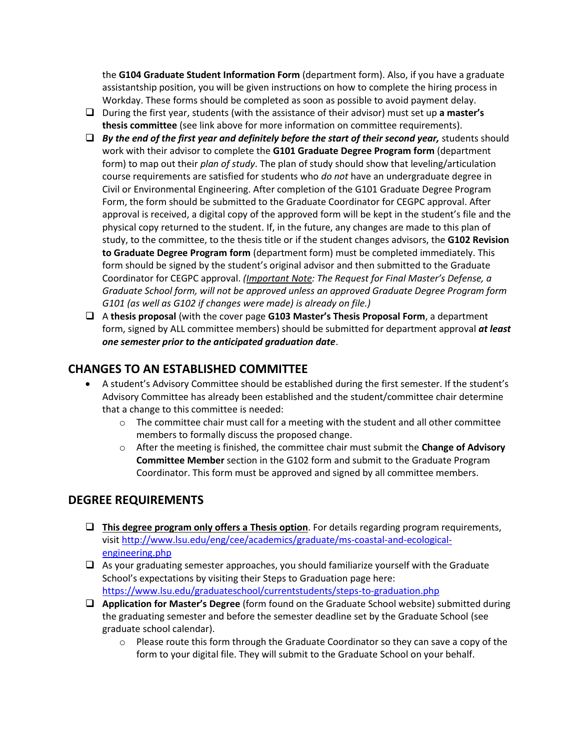the **G104 Graduate Student Information Form** (department form). Also, if you have a graduate assistantship position, you will be given instructions on how to complete the hiring process in Workday. These forms should be completed as soon as possible to avoid payment delay.

- ❑ During the first year, students (with the assistance of their advisor) must set up **a master's thesis committee** (see link above for more information on committee requirements).
- ❑ *By the end of the first year and definitely before the start of their second year,* students should work with their advisor to complete the **G101 Graduate Degree Program form** (department form) to map out their *plan of study*. The plan of study should show that leveling/articulation course requirements are satisfied for students who *do not* have an undergraduate degree in Civil or Environmental Engineering. After completion of the G101 Graduate Degree Program Form, the form should be submitted to the Graduate Coordinator for CEGPC approval. After approval is received, a digital copy of the approved form will be kept in the student's file and the physical copy returned to the student. If, in the future, any changes are made to this plan of study, to the committee, to the thesis title or if the student changes advisors, the **G102 Revision to Graduate Degree Program form** (department form) must be completed immediately. This form should be signed by the student's original advisor and then submitted to the Graduate Coordinator for CEGPC approval. *(Important Note: The Request for Final Master's Defense, a Graduate School form, will not be approved unless an approved Graduate Degree Program form G101 (as well as G102 if changes were made) is already on file.)*
- ❑ A **thesis proposal** (with the cover page **G103 Master's Thesis Proposal Form**, a department form, signed by ALL committee members) should be submitted for department approval *at least one semester prior to the anticipated graduation date*.

# **CHANGES TO AN ESTABLISHED COMMITTEE**

- A student's Advisory Committee should be established during the first semester. If the student's Advisory Committee has already been established and the student/committee chair determine that a change to this committee is needed:
	- $\circ$  The committee chair must call for a meeting with the student and all other committee members to formally discuss the proposed change.
	- o After the meeting is finished, the committee chair must submit the **Change of Advisory Committee Member** section in the G102 form and submit to the Graduate Program Coordinator. This form must be approved and signed by all committee members.

## **DEGREE REQUIREMENTS**

- ❑ **This degree program only offers a Thesis option**. For details regarding program requirements, visi[t http://www.lsu.edu/eng/cee/academics/graduate/ms-coastal-and-ecological](http://www.lsu.edu/eng/cee/academics/graduate/ms-coastal-and-ecological-engineering.php)[engineering.php](http://www.lsu.edu/eng/cee/academics/graduate/ms-coastal-and-ecological-engineering.php)
- ❑ As your graduating semester approaches, you should familiarize yourself with the Graduate School's expectations by visiting their Steps to Graduation page here: <https://www.lsu.edu/graduateschool/currentstudents/steps-to-graduation.php>
- ❑ **Application for Master's Degree** (form found on the Graduate School website) submitted during the graduating semester and before the semester deadline set by the Graduate School (see graduate school calendar).
	- $\circ$  Please route this form through the Graduate Coordinator so they can save a copy of the form to your digital file. They will submit to the Graduate School on your behalf.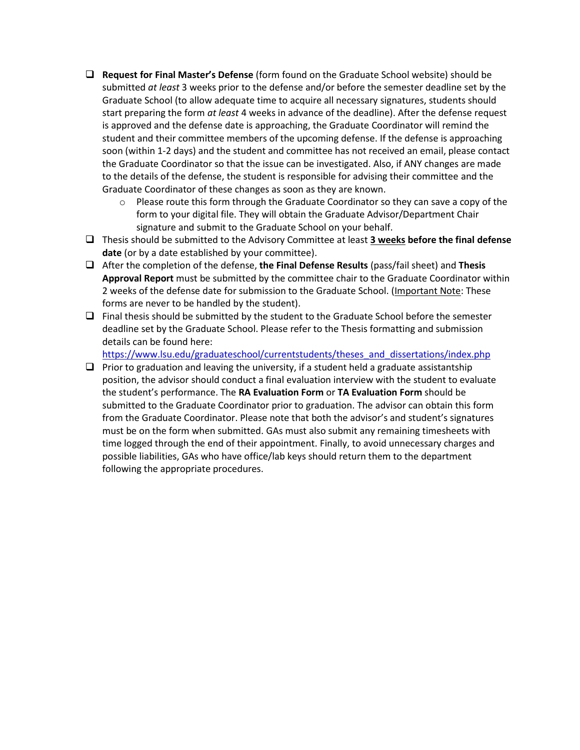- ❑ **Request for Final Master's Defense** (form found on the Graduate School website) should be submitted *at least* 3 weeks prior to the defense and/or before the semester deadline set by the Graduate School (to allow adequate time to acquire all necessary signatures, students should start preparing the form *at least* 4 weeks in advance of the deadline). After the defense request is approved and the defense date is approaching, the Graduate Coordinator will remind the student and their committee members of the upcoming defense. If the defense is approaching soon (within 1-2 days) and the student and committee has not received an email, please contact the Graduate Coordinator so that the issue can be investigated. Also, if ANY changes are made to the details of the defense, the student is responsible for advising their committee and the Graduate Coordinator of these changes as soon as they are known.
	- $\circ$  Please route this form through the Graduate Coordinator so they can save a copy of the form to your digital file. They will obtain the Graduate Advisor/Department Chair signature and submit to the Graduate School on your behalf.
- ❑ Thesis should be submitted to the Advisory Committee at least **3 weeks before the final defense date** (or by a date established by your committee).
- ❑ After the completion of the defense, **the Final Defense Results** (pass/fail sheet) and **Thesis Approval Report** must be submitted by the committee chair to the Graduate Coordinator within 2 weeks of the defense date for submission to the Graduate School. (Important Note: These forms are never to be handled by the student).
- $\Box$  Final thesis should be submitted by the student to the Graduate School before the semester deadline set by the Graduate School. Please refer to the Thesis formatting and submission details can be found here:

[https://www.lsu.edu/graduateschool/currentstudents/theses\\_and\\_dissertations/index.php](https://www.lsu.edu/graduateschool/currentstudents/theses_and_dissertations/index.php)

 $\Box$  Prior to graduation and leaving the university, if a student held a graduate assistantship position, the advisor should conduct a final evaluation interview with the student to evaluate the student's performance. The **RA Evaluation Form** or **TA Evaluation Form** should be submitted to the Graduate Coordinator prior to graduation. The advisor can obtain this form from the Graduate Coordinator. Please note that both the advisor's and student's signatures must be on the form when submitted. GAs must also submit any remaining timesheets with time logged through the end of their appointment. Finally, to avoid unnecessary charges and possible liabilities, GAs who have office/lab keys should return them to the department following the appropriate procedures.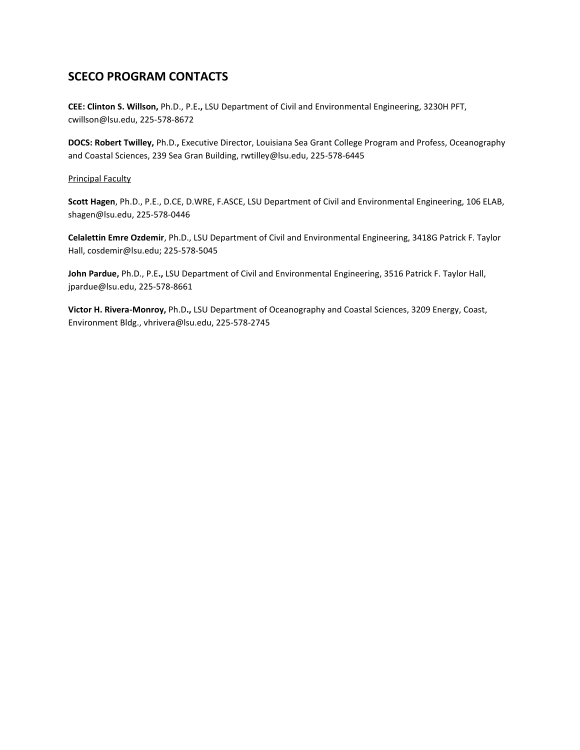# **SCECO PROGRAM CONTACTS**

**CEE: Clinton S. Willson,** Ph.D., P.E**.,** LSU Department of Civil and Environmental Engineering, 3230H PFT, cwillson@lsu.edu, 225-578-8672

**DOCS: Robert Twilley,** Ph.D.**,** Executive Director, Louisiana Sea Grant College Program and Profess, Oceanography and Coastal Sciences, 239 Sea Gran Building, rwtilley@lsu.edu, 225-578-6445

#### Principal Faculty

**Scott Hagen**, Ph.D., P.E., D.CE, D.WRE, F.ASCE, LSU Department of Civil and Environmental Engineering, 106 ELAB, shagen@lsu.edu, 225-578-0446

**Celalettin Emre Ozdemir**, Ph.D., LSU Department of Civil and Environmental Engineering, 3418G Patrick F. Taylor Hall, cosdemir@lsu.edu; 225-578-5045

**John Pardue,** Ph.D., P.E**.,** LSU Department of Civil and Environmental Engineering, 3516 Patrick F. Taylor Hall, jpardue@lsu.edu, 225-578-8661

**Victor H. Rivera-Monroy,** Ph.D**.,** LSU Department of Oceanography and Coastal Sciences, 3209 Energy, Coast, Environment Bldg., vhrivera@lsu.edu, 225-578-2745